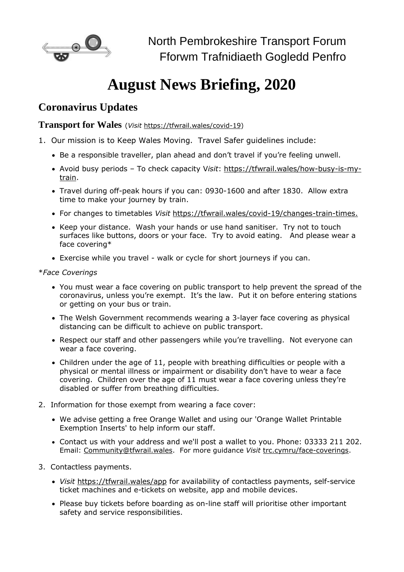

## **August News Briefing, 2020**

## **Coronavirus Updates**

**Transport for Wales** (*Visit* [https://tfwrail.wales/covid-19\)](https://tfwrail.wales/covid-19)

- 1. Our mission is to Keep Wales Moving. Travel Safer guidelines include:
	- Be a responsible traveller, plan ahead and don't travel if you're feeling unwell.
	- Avoid busy periods To check capacity V*isit*: [https://tfwrail.wales/how-busy-is-my](https://transportforwales.cmail19.com/t/t-l-phyuto-vjhhiuhur-b/)[train.](https://transportforwales.cmail19.com/t/t-l-phyuto-vjhhiuhur-b/)
	- Travel during off-peak hours if you can: 0930-1600 and after 1830. Allow extra time to make your journey by train.
	- For changes to timetables *Visit* [https://tfwrail.wales/covid-19/changes-train-times.](https://tfwrail.wales/covid-19/changes-train-times)
	- Keep your distance. Wash your hands or use hand sanitiser. Try not to touch surfaces like buttons, doors or your face. Try to avoid eating. And please wear a face covering\*
	- Exercise while you travel walk or cycle for short journeys if you can.

## \**Face Coverings*

- You must wear a face covering on public transport to help prevent the spread of the coronavirus, unless you're exempt. It's the law. Put it on before entering stations or getting on your bus or train.
- The Welsh Government recommends wearing a 3-layer face covering as physical distancing can be difficult to achieve on public transport.
- Respect our staff and other passengers while you're travelling. Not everyone can wear a face covering.
- Children under the age of 11, people with breathing difficulties or people with a physical or mental illness or impairment or disability don't have to wear a face covering. Children over the age of 11 must wear a face covering unless they're disabled or suffer from breathing difficulties.
- 2. Information for those exempt from wearing a face cover:
	- We advise getting a free Orange Wallet and using our 'Orange Wallet Printable Exemption Inserts' to help inform our staff.
	- Contact us with your address and we'll post a wallet to you. Phone: 03333 211 202. Email: [Community@tfwrail.wales.](mailto:Community@tfwrail.wales) For more guidance *Visit* [trc.cymru/face-coverings.](https://www.trc.cymru/face-coverings)
- 3. Contactless payments.
	- *Visit* <https://tfwrail.wales/app> for availability of contactless payments, self-service ticket machines and e-tickets on website, app and mobile devices.
	- Please buy tickets before boarding as on-line staff will prioritise other important safety and service responsibilities.